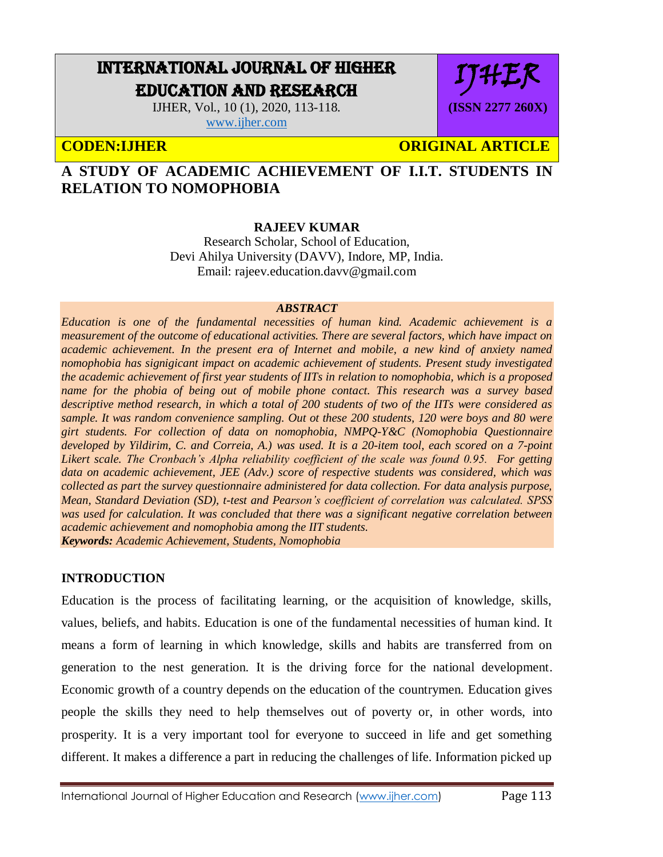# INTERNATIONAL JOURNAL OF HIGHER EDUCATION AND RESEARCH

IJHER, Vol., 10 (1), 2020, 113-118. [www.ijher.com](http://www.ijher.com/)

IJHER **(ISSN 2277 260X)**

# **CODEN:IJHER CODEN:IS ARTICLE**

## **A STUDY OF ACADEMIC ACHIEVEMENT OF I.I.T. STUDENTS IN RELATION TO NOMOPHOBIA**

## **RAJEEV KUMAR**

Research Scholar, School of Education, Devi Ahilya University (DAVV), Indore, MP, India. Email: rajeev.education.davv@gmail.com

#### *ABSTRACT*

*Education is one of the fundamental necessities of human kind. Academic achievement is a measurement of the outcome of educational activities. There are several factors, which have impact on academic achievement. In the present era of Internet and mobile, a new kind of anxiety named nomophobia has signigicant impact on academic achievement of students. Present study investigated the academic achievement of first year students of IITs in relation to nomophobia, which is a proposed name for the phobia of being out of mobile phone contact. This research was a survey based descriptive method research, in which a total of 200 students of two of the IITs were considered as sample. It was random convenience sampling. Out ot these 200 students, 120 were boys and 80 were girt students. For collection of data on nomophobia, NMPQ-Y&C (Nomophobia Questionnaire developed by Yildirim, C. and Correia, A.) was used. It is a 20-item tool, each scored on a 7-point Likert scale. The Cronbach's Alpha reliability coefficient of the scale was found 0.95. For getting data on academic achievement, JEE (Adv.) score of respective students was considered, which was collected as part the survey questionnaire administered for data collection. For data analysis purpose, Mean, Standard Deviation (SD), t-test and Pearson's coefficient of correlation was calculated. SPSS was used for calculation. It was concluded that there was a significant negative correlation between academic achievement and nomophobia among the IIT students. Keywords: Academic Achievement, Students, Nomophobia*

### **INTRODUCTION**

Education is the process of facilitating learning, or the acquisition of knowledge, skills, values, beliefs, and habits. Education is one of the fundamental necessities of human kind. It means a form of learning in which knowledge, skills and habits are transferred from on generation to the nest generation. It is the driving force for the national development. Economic growth of a country depends on the education of the countrymen. Education gives people the skills they need to help themselves out of poverty or, in other words, into prosperity. It is a very important tool for everyone to succeed in life and get something different. It makes a difference a part in reducing the challenges of life. Information picked up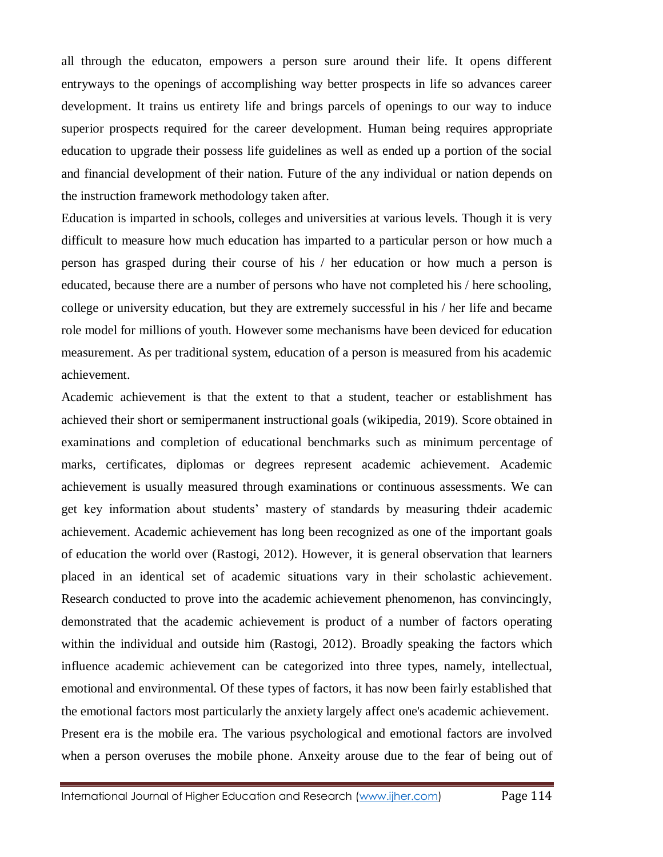all through the educaton, empowers a person sure around their life. It opens different entryways to the openings of accomplishing way better prospects in life so advances career development. It trains us entirety life and brings parcels of openings to our way to induce superior prospects required for the career development. Human being requires appropriate education to upgrade their possess life guidelines as well as ended up a portion of the social and financial development of their nation. Future of the any individual or nation depends on the instruction framework methodology taken after.

Education is imparted in schools, colleges and universities at various levels. Though it is very difficult to measure how much education has imparted to a particular person or how much a person has grasped during their course of his / her education or how much a person is educated, because there are a number of persons who have not completed his / here schooling, college or university education, but they are extremely successful in his / her life and became role model for millions of youth. However some mechanisms have been deviced for education measurement. As per traditional system, education of a person is measured from his academic achievement.

Academic achievement is that the extent to that a student, teacher or establishment has achieved their short or semipermanent instructional goals (wikipedia, 2019). Score obtained in examinations and completion of educational benchmarks such as minimum percentage of marks, certificates, diplomas or degrees represent academic achievement. Academic achievement is usually measured through examinations or continuous assessments. We can get key information about students' mastery of standards by measuring thdeir academic achievement. Academic achievement has long been recognized as one of the important goals of education the world over (Rastogi, 2012). However, it is general observation that learners placed in an identical set of academic situations vary in their scholastic achievement. Research conducted to prove into the academic achievement phenomenon, has convincingly, demonstrated that the academic achievement is product of a number of factors operating within the individual and outside him (Rastogi, 2012). Broadly speaking the factors which influence academic achievement can be categorized into three types, namely, intellectual, emotional and environmental. Of these types of factors, it has now been fairly established that the emotional factors most particularly the anxiety largely affect one's academic achievement. Present era is the mobile era. The various psychological and emotional factors are involved when a person overuses the mobile phone. Anxeity arouse due to the fear of being out of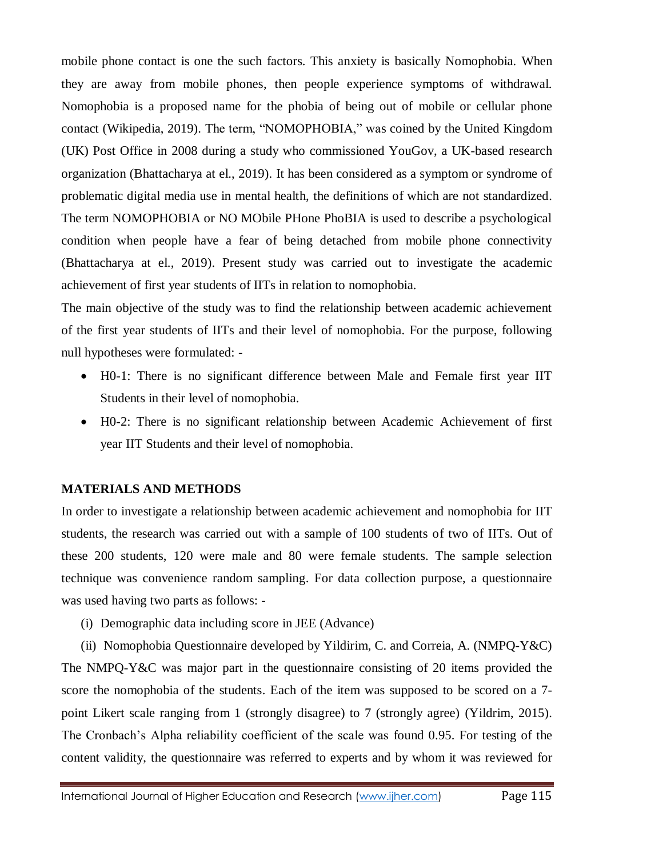mobile phone contact is one the such factors. This anxiety is basically Nomophobia. When they are away from mobile phones, then people experience symptoms of withdrawal. Nomophobia is a proposed name for the phobia of being out of mobile or cellular phone contact (Wikipedia, 2019). The term, "NOMOPHOBIA," was coined by the United Kingdom (UK) Post Office in 2008 during a study who commissioned YouGov, a UK-based research organization (Bhattacharya at el., 2019). It has been considered as a symptom or syndrome of problematic digital media use in mental health, the definitions of which are not standardized. The term NOMOPHOBIA or NO MObile PHone PhoBIA is used to describe a psychological condition when people have a fear of being detached from mobile phone connectivity (Bhattacharya at el., 2019). Present study was carried out to investigate the academic achievement of first year students of IITs in relation to nomophobia.

The main objective of the study was to find the relationship between academic achievement of the first year students of IITs and their level of nomophobia. For the purpose, following null hypotheses were formulated: -

- H0-1: There is no significant difference between Male and Female first year IIT Students in their level of nomophobia.
- H0-2: There is no significant relationship between Academic Achievement of first year IIT Students and their level of nomophobia.

#### **MATERIALS AND METHODS**

In order to investigate a relationship between academic achievement and nomophobia for IIT students, the research was carried out with a sample of 100 students of two of IITs. Out of these 200 students, 120 were male and 80 were female students. The sample selection technique was convenience random sampling. For data collection purpose, a questionnaire was used having two parts as follows: -

(i) Demographic data including score in JEE (Advance)

(ii) Nomophobia Questionnaire developed by Yildirim, C. and Correia, A. (NMPQ-Y&C) The NMPQ-Y&C was major part in the questionnaire consisting of 20 items provided the score the nomophobia of the students. Each of the item was supposed to be scored on a 7 point Likert scale ranging from 1 (strongly disagree) to 7 (strongly agree) (Yildrim, 2015). The Cronbach's Alpha reliability coefficient of the scale was found 0.95. For testing of the content validity, the questionnaire was referred to experts and by whom it was reviewed for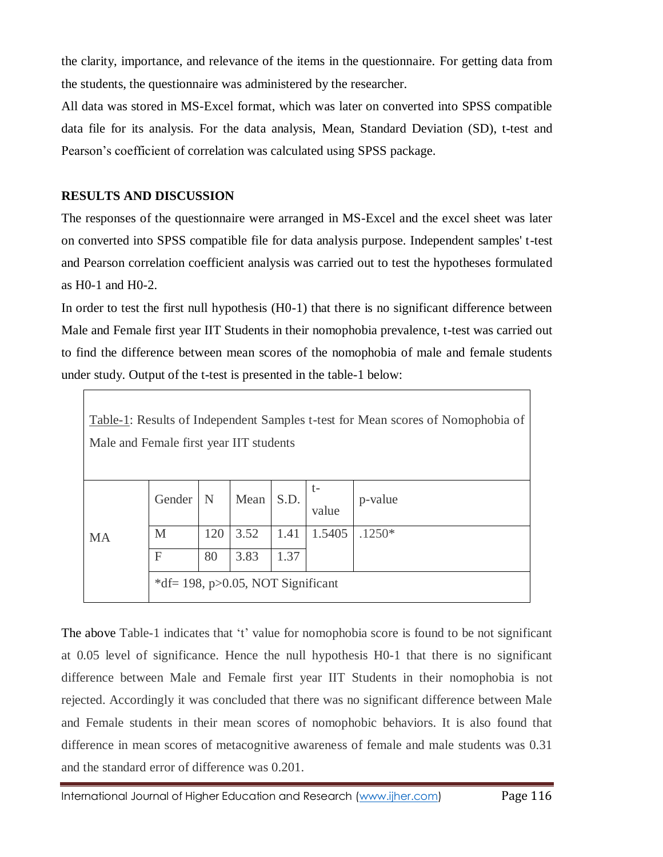the clarity, importance, and relevance of the items in the questionnaire. For getting data from the students, the questionnaire was administered by the researcher.

All data was stored in MS-Excel format, which was later on converted into SPSS compatible data file for its analysis. For the data analysis, Mean, Standard Deviation (SD), t-test and Pearson's coefficient of correlation was calculated using SPSS package.

### **RESULTS AND DISCUSSION**

The responses of the questionnaire were arranged in MS-Excel and the excel sheet was later on converted into SPSS compatible file for data analysis purpose. Independent samples' t-test and Pearson correlation coefficient analysis was carried out to test the hypotheses formulated as H0-1 and H0-2.

In order to test the first null hypothesis (H0-1) that there is no significant difference between Male and Female first year IIT Students in their nomophobia prevalence, t-test was carried out to find the difference between mean scores of the nomophobia of male and female students under study. Output of the t-test is presented in the table-1 below:

| Table-1: Results of Independent Samples t-test for Mean scores of Nomophobia of<br>Male and Female first year IIT students |                                         |             |           |      |        |          |  |  |  |
|----------------------------------------------------------------------------------------------------------------------------|-----------------------------------------|-------------|-----------|------|--------|----------|--|--|--|
|                                                                                                                            | Gender                                  | $\mathbf N$ | Mean S.D. |      | value  | p-value  |  |  |  |
| <b>MA</b>                                                                                                                  | M                                       | 120         | 3.52      | 1.41 | 1.5405 | $.1250*$ |  |  |  |
|                                                                                                                            | $\mathbf F$                             | 80          | 3.83      | 1.37 |        |          |  |  |  |
|                                                                                                                            | *df = 198, $p > 0.05$ , NOT Significant |             |           |      |        |          |  |  |  |

The above Table-1 indicates that 't' value for nomophobia score is found to be not significant at 0.05 level of significance. Hence the null hypothesis H0-1 that there is no significant difference between Male and Female first year IIT Students in their nomophobia is not rejected. Accordingly it was concluded that there was no significant difference between Male and Female students in their mean scores of nomophobic behaviors. It is also found that difference in mean scores of metacognitive awareness of female and male students was 0.31 and the standard error of difference was 0.201.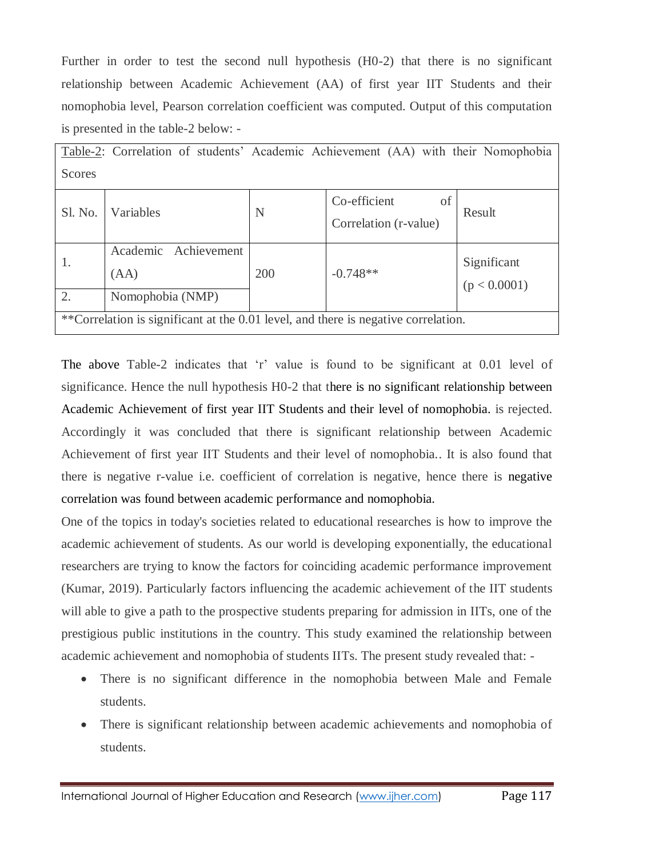Further in order to test the second null hypothesis (H0-2) that there is no significant relationship between Academic Achievement (AA) of first year IIT Students and their nomophobia level, Pearson correlation coefficient was computed. Output of this computation is presented in the table-2 below: -

| Table-2: Correlation of students' Academic Achievement (AA) with their Nomophobia  |                              |     |                                             |                             |  |  |  |  |  |
|------------------------------------------------------------------------------------|------------------------------|-----|---------------------------------------------|-----------------------------|--|--|--|--|--|
| Scores                                                                             |                              |     |                                             |                             |  |  |  |  |  |
| Sl. No.                                                                            | Variables                    | N   | Co-efficient<br>of<br>Correlation (r-value) | Result                      |  |  |  |  |  |
| 1.                                                                                 | Academic Achievement<br>(AA) | 200 | $-0.748**$                                  | Significant<br>(p < 0.0001) |  |  |  |  |  |
| 2.                                                                                 | Nomophobia (NMP)             |     |                                             |                             |  |  |  |  |  |
| **Correlation is significant at the 0.01 level, and there is negative correlation. |                              |     |                                             |                             |  |  |  |  |  |

The above Table-2 indicates that 'r' value is found to be significant at 0.01 level of significance. Hence the null hypothesis H0-2 that there is no significant relationship between Academic Achievement of first year IIT Students and their level of nomophobia. is rejected. Accordingly it was concluded that there is significant relationship between Academic Achievement of first year IIT Students and their level of nomophobia.. It is also found that there is negative r-value i.e. coefficient of correlation is negative, hence there is negative correlation was found between academic performance and nomophobia.

One of the topics in today's societies related to educational researches is how to improve the academic achievement of students. As our world is developing exponentially, the educational researchers are trying to know the factors for coinciding academic performance improvement (Kumar, 2019). Particularly factors influencing the academic achievement of the IIT students will able to give a path to the prospective students preparing for admission in IITs, one of the prestigious public institutions in the country. This study examined the relationship between academic achievement and nomophobia of students IITs. The present study revealed that: -

- There is no significant difference in the nomophobia between Male and Female students.
- There is significant relationship between academic achievements and nomophobia of students.